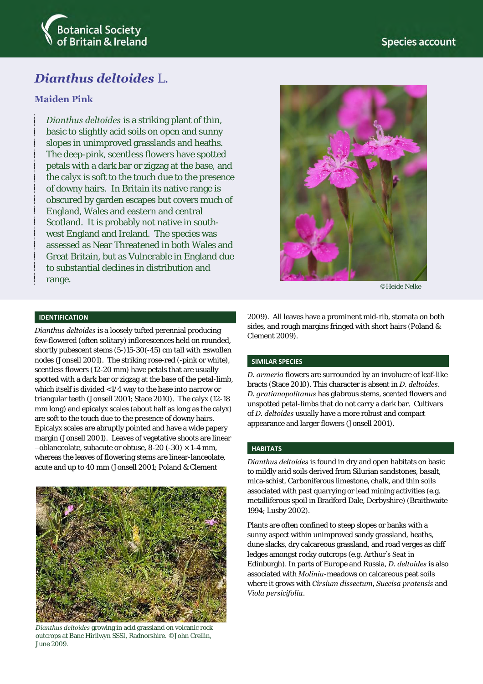

# *Dianthus deltoides* L.

## **Maiden Pink**

*Dianthus deltoides* is a striking plant of thin, basic to slightly acid soils on open and sunny slopes in unimproved grasslands and heaths. The deep-pink, scentless flowers have spotted petals with a dark bar or zigzag at the base, and the calyx is soft to the touch due to the presence of downy hairs. In Britain its native range is obscured by garden escapes but covers much of England, Wales and eastern and central Scotland. It is probably not native in southwest England and Ireland. The species was assessed as Near Threatened in both Wales and Great Britain, but as Vulnerable in England due to substantial declines in distribution and range.



©Heide Nelke

## **IDENTIFICATION**

*Dianthus deltoides* is a loosely tufted perennial producing few-flowered (often solitary) inflorescences held on rounded, shortly pubescent stems (5-)15-30(-45) cm tall with ±swollen nodes (Jonsell 2001). The striking rose-red (-pink or white), scentless flowers (12-20 mm) have petals that are usually spotted with a dark bar or zigzag at the base of the petal-limb, which itself is divided <1/4 way to the base into narrow or triangular teeth (Jonsell 2001; Stace 2010). The calyx (12-18 mm long) and epicalyx scales (about half as long as the calyx) are soft to the touch due to the presence of downy hairs. Epicalyx scales are abruptly pointed and have a wide papery margin (Jonsell 2001). Leaves of vegetative shoots are linear  $-$ oblanceolate, subacute or obtuse, 8-20 (-30)  $\times$  1-4 mm, whereas the leaves of flowering stems are linear-lanceolate, acute and up to 40 mm (Jonsell 2001; Poland & Clement



*Dianthus deltoides* growing in acid grassland on volcanic rock outcrops at Banc Hirllwyn SSSI, Radnorshire. ©John Crellin, June 2009.

2009). All leaves have a prominent mid-rib, stomata on both sides, and rough margins fringed with short hairs (Poland & Clement 2009).

## **SIMILAR SPECIES**

*D. armeria* flowers are surrounded by an involucre of leaf-like bracts (Stace 2010). This character is absent in *D. deltoides*. *D. gratianopolitanus* has glabrous stems, scented flowers and unspotted petal-limbs that do not carry a dark bar. Cultivars of *D. deltoides* usually have a more robust and compact appearance and larger flowers (Jonsell 2001).

## **HABITATS**

*Dianthus deltoides* is found in dry and open habitats on basic to mildly acid soils derived from Silurian sandstones, basalt, mica-schist, Carboniferous limestone, chalk, and thin soils associated with past quarrying or lead mining activities (e.g. metalliferous spoil in Bradford Dale, Derbyshire) (Braithwaite 1994; Lusby 2002).

Plants are often confined to steep slopes or banks with a sunny aspect within unimproved sandy grassland, heaths, dune slacks, dry calcareous grassland, and road verges as cliff ledges amongst rocky outcrops (e.g. Arthur's Seat in Edinburgh). In parts of Europe and Russia, *D. deltoides* is also associated with *Molinia*-meadows on calcareous peat soils where it grows with *Cirsium dissectum, Succisa pratensis* and *Viola persicifolia*.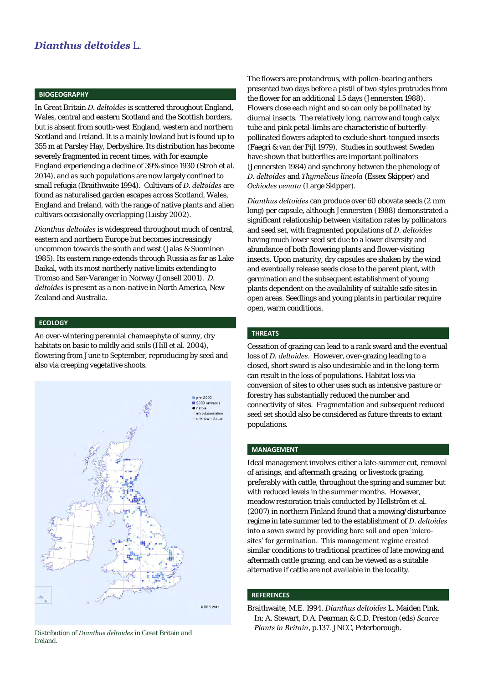#### **BIOGEOGRAPHY**

In Great Britain *D. deltoides* is scattered throughout England, Wales, central and eastern Scotland and the Scottish borders, but is absent from south-west England, western and northern Scotland and Ireland. It is a mainly lowland but is found up to 355 m at Parsley Hay, Derbyshire. Its distribution has become severely fragmented in recent times, with for example England experiencing a decline of 39% since 1930 (Stroh et al. 2014), and as such populations are now largely confined to small refugia (Braithwaite 1994). Cultivars of *D. deltoides* are found as naturalised garden escapes across Scotland, Wales, England and Ireland, with the range of native plants and alien cultivars occasionally overlapping (Lusby 2002).

*Dianthus deltoides* is widespread throughout much of central, eastern and northern Europe but becomes increasingly uncommon towards the south and west (Jalas & Suominen 1985). Its eastern range extends through Russia as far as Lake Baikal*,* with its most northerly native limits extending to Tromso and Sør-Varanger in Norway (Jonsell 2001). *D. deltoides* is present as a non-native in North America, New Zealand and Australia.

## **ECOLOGY**

An over-wintering perennial chamaephyte of sunny, dry habitats on basic to mildly acid soils (Hill et al. 2004), flowering from June to September, reproducing by seed and also via creeping vegetative shoots.



Distribution of *Dianthus deltoides* in Great Britain and Ireland.

The flowers are protandrous, with pollen-bearing anthers presented two days before a pistil of two styles protrudes from the flower for an additional 1.5 days (Jennersten 1988). Flowers close each night and so can only be pollinated by diurnal insects. The relatively long, narrow and tough calyx tube and pink petal-limbs are characteristic of butterflypollinated flowers adapted to exclude short-tongued insects (Faegri & van der Pijl 1979). Studies in southwest Sweden have shown that butterflies are important pollinators (Jennersten 1984) and synchrony between the phenology of *D. deltoides* and *Thymelicus lineola* (Essex Skipper) and *Ochiodes venata* (Large Skipper).

*Dianthus deltoides* can produce over 60 obovate seeds (2 mm long) per capsule, although Jennersten (1988) demonstrated a significant relationship between visitation rates by pollinators and seed set, with fragmented populations of *D. deltoides* having much lower seed set due to a lower diversity and abundance of both flowering plants and flower-visiting insects. Upon maturity, dry capsules are shaken by the wind and eventually release seeds close to the parent plant, with germination and the subsequent establishment of young plants dependent on the availability of suitable safe sites in open areas. Seedlings and young plants in particular require open, warm conditions.

#### **THREATS**

Cessation of grazing can lead to a rank sward and the eventual loss of *D. deltoides*. However, over-grazing leading to a closed, short sward is also undesirable and in the long-term can result in the loss of populations. Habitat loss via conversion of sites to other uses such as intensive pasture or forestry has substantially reduced the number and connectivity of sites. Fragmentation and subsequent reduced seed set should also be considered as future threats to extant populations.

## **MANAGEMENT**

Ideal management involves either a late-summer cut, removal of arisings, and aftermath grazing, or livestock grazing, preferably with cattle, throughout the spring and summer but with reduced levels in the summer months. However, meadow restoration trials conducted by Hellström et al. (2007) in northern Finland found that a mowing/disturbance regime in late summer led to the establishment of *D. deltoides* into a sown sward by providing bare soil and open 'microsites' for germination. This management regime created similar conditions to traditional practices of late mowing and aftermath cattle grazing, and can be viewed as a suitable alternative if cattle are not available in the locality.

#### **REFERENCES**

Braithwaite, M.E. 1994. *Dianthus deltoides* L. Maiden Pink. In: A. Stewart, D.A. Pearman & C.D. Preston (eds) *Scarce Plants in Britain*, p.137. JNCC, Peterborough.